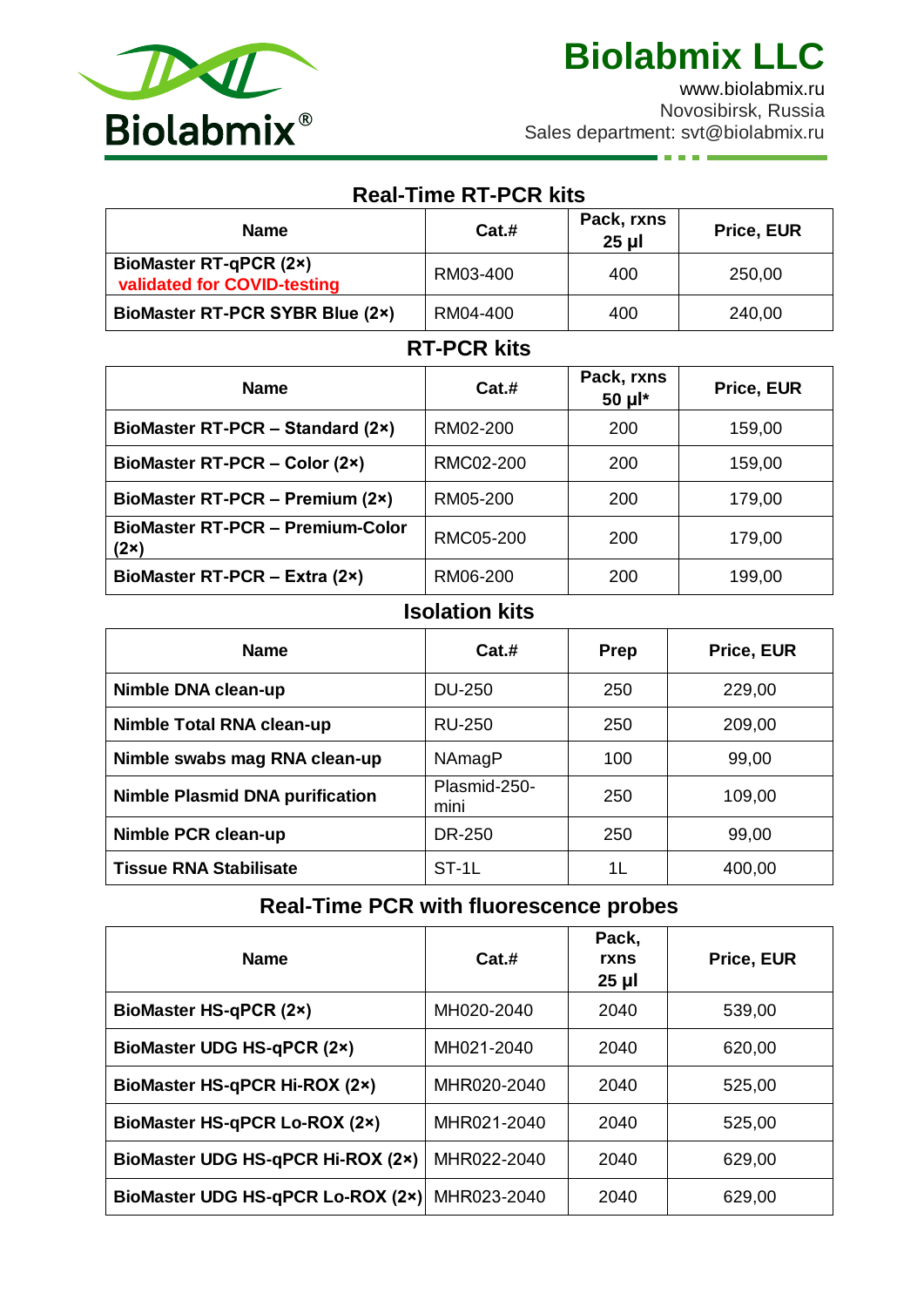

an in

[www.biolabmix.ru](http://www.biolabmix.ru/) Novosibirsk, Russia Sales department: svt@biolabmix.ru

| <b>Real-Time RT-PCR kits</b>                                 |               |                        |            |  |
|--------------------------------------------------------------|---------------|------------------------|------------|--|
| <b>Name</b>                                                  | Cat.#         | Pack, rxns<br>$25 \mu$ | Price, EUR |  |
| <b>BioMaster RT-qPCR (2x)</b><br>validated for COVID-testing | RM03-400      | 400                    | 250,00     |  |
| <b>BioMaster RT-PCR SYBR Blue (2x)</b>                       | RM04-400      | 400                    | 240,00     |  |
| <b>RT-PCR kits</b>                                           |               |                        |            |  |
| <b>Name</b>                                                  | Cat.#         | Pack, rxns<br>50 µl*   | Price, EUR |  |
| BioMaster RT-PCR – Standard (2x)                             | RM02-200      | 200                    | 159,00     |  |
| BioMaster RT-PCR - Color (2x)                                | RMC02-200     | 200                    | 159,00     |  |
| BioMaster RT-PCR - Premium (2x)                              | RM05-200      | 200                    | 179,00     |  |
| <b>BioMaster RT-PCR - Premium-Color</b><br>(2x)              | RMC05-200     | 200                    | 179,00     |  |
| BioMaster RT-PCR - Extra (2x)                                | RM06-200<br>. | 200                    | 199,00     |  |

### **Isolation kits**

| <b>Name</b>                            | Cat.#                | <b>Prep</b> | Price, EUR |
|----------------------------------------|----------------------|-------------|------------|
| Nimble DNA clean-up                    | <b>DU-250</b>        | 250         | 229,00     |
| Nimble Total RNA clean-up              | RU-250               | 250         | 209,00     |
| Nimble swabs mag RNA clean-up          | NAmagP               | 100         | 99,00      |
| <b>Nimble Plasmid DNA purification</b> | Plasmid-250-<br>mini | 250         | 109,00     |
| Nimble PCR clean-up                    | DR-250               | 250         | 99,00      |
| <b>Tissue RNA Stabilisate</b>          | $ST-1L$              | 1L          | 400,00     |

# **Real-Time PCR with fluorescence probes**

| <b>Name</b>                          | Cat.#       | Pack,<br>rxns<br>$25 \mu$ | Price, EUR |
|--------------------------------------|-------------|---------------------------|------------|
| <b>BioMaster HS-qPCR (2x)</b>        | MH020-2040  | 2040                      | 539,00     |
| <b>BioMaster UDG HS-qPCR (2x)</b>    | MH021-2040  | 2040                      | 620,00     |
| BioMaster HS-qPCR Hi-ROX (2×)        | MHR020-2040 | 2040                      | 525,00     |
| <b>BioMaster HS-qPCR Lo-ROX (2x)</b> | MHR021-2040 | 2040                      | 525,00     |
| BioMaster UDG HS-qPCR Hi-ROX (2x)    | MHR022-2040 | 2040                      | 629,00     |
| BioMaster UDG HS-qPCR Lo-ROX (2x)    | MHR023-2040 | 2040                      | 629,00     |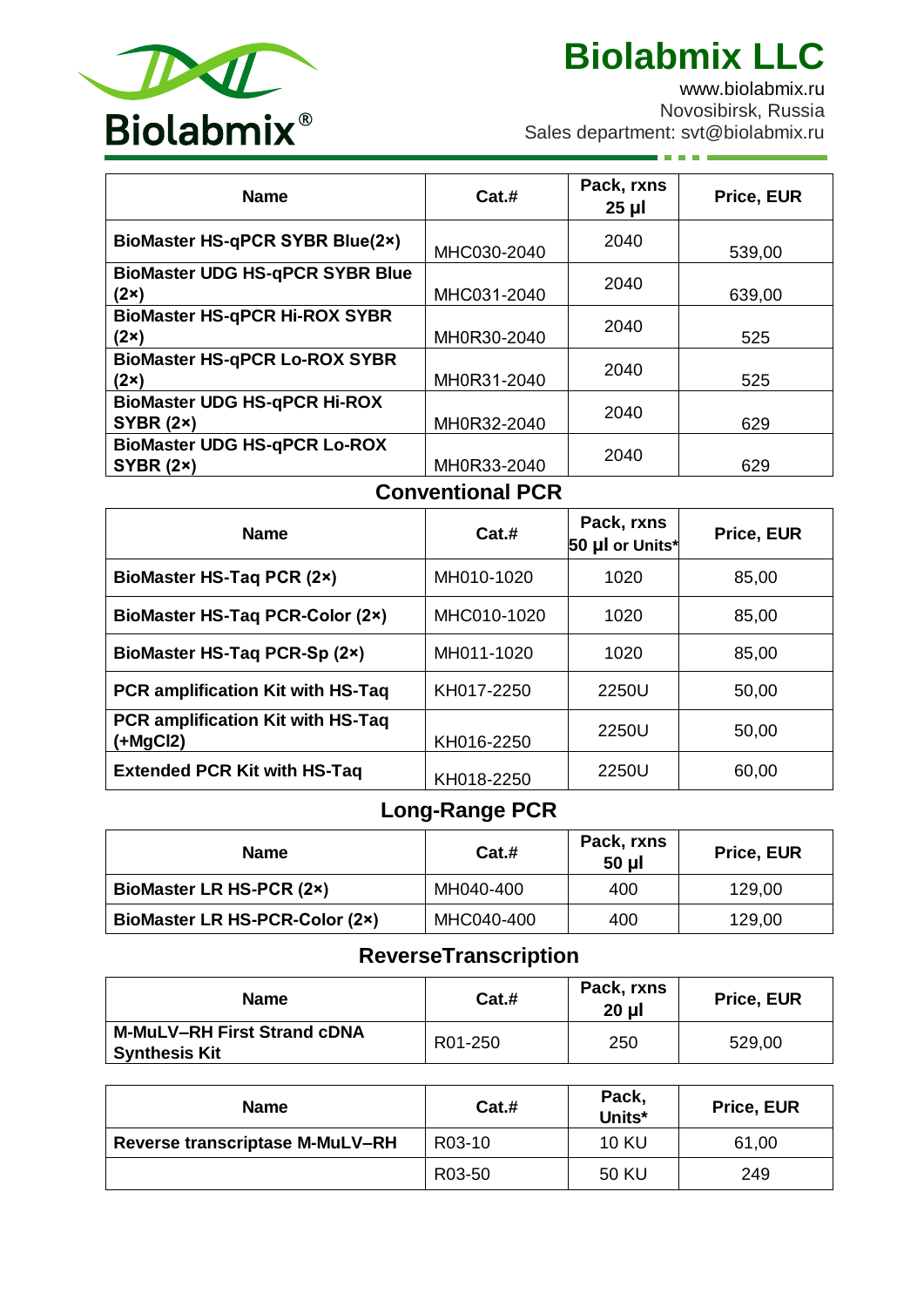

**C** 

[www.biolabmix.ru](http://www.biolabmix.ru/) Novosibirsk, Russia Sales department: svt@biolabmix.ru

| <b>Name</b>                                             | Cat.#       | Pack, rxns<br>$25 \mu$ | Price, EUR |
|---------------------------------------------------------|-------------|------------------------|------------|
| <b>BioMaster HS-gPCR SYBR Blue(2x)</b>                  | MHC030-2040 | 2040                   | 539,00     |
| <b>BioMaster UDG HS-qPCR SYBR Blue</b><br>(2x)          | MHC031-2040 | 2040                   | 639,00     |
| <b>BioMaster HS-qPCR Hi-ROX SYBR</b><br>(2x)            | MH0R30-2040 | 2040                   | 525        |
| <b>BioMaster HS-qPCR Lo-ROX SYBR</b><br>$(2\times)$     | MH0R31-2040 | 2040                   | 525        |
| <b>BioMaster UDG HS-qPCR Hi-ROX</b><br><b>SYBR (2x)</b> | MH0R32-2040 | 2040                   | 629        |
| <b>BioMaster UDG HS-qPCR Lo-ROX</b><br><b>SYBR (2x)</b> | MH0R33-2040 | 2040                   | 629        |

## **Conventional PCR**

| <b>Name</b>                                     | Cat.#       | Pack, rxns<br>50 µl or Units* | Price, EUR |
|-------------------------------------------------|-------------|-------------------------------|------------|
| <b>BioMaster HS-Tag PCR (2x)</b>                | MH010-1020  | 1020                          | 85,00      |
| <b>BioMaster HS-Taq PCR-Color (2x)</b>          | MHC010-1020 | 1020                          | 85,00      |
| BioMaster HS-Taq PCR-Sp (2x)                    | MH011-1020  | 1020                          | 85,00      |
| <b>PCR amplification Kit with HS-Taq</b>        | KH017-2250  | 2250U                         | 50,00      |
| PCR amplification Kit with HS-Taq<br>$(+MgCl2)$ | KH016-2250  | 2250U                         | 50,00      |
| <b>Extended PCR Kit with HS-Taq</b>             | KH018-2250  | 2250U                         | 60,00      |

## **Long-Range PCR**

| <b>Name</b>                     | Cat.#      | Pack, rxns<br>50 µl | <b>Price, EUR</b> |
|---------------------------------|------------|---------------------|-------------------|
| <b>BioMaster LR HS-PCR (2x)</b> | MH040-400  | 400                 | 129,00            |
| BioMaster LR HS-PCR-Color (2x)  | MHC040-400 | 400                 | 129,00            |

# **ReverseTranscription**

| <b>Name</b>                                                | Cat.#   | Pack, rxns<br>20 µl | <b>Price, EUR</b> |
|------------------------------------------------------------|---------|---------------------|-------------------|
| <b>M-MuLV-RH First Strand cDNA</b><br><b>Synthesis Kit</b> | R01-250 | 250                 | 529,00            |

| <b>Name</b>                            | Cat.#  | Pack.<br>Units* | Price, EUR |
|----------------------------------------|--------|-----------------|------------|
| <b>Reverse transcriptase M-MuLV-RH</b> | R03-10 | <b>10 KU</b>    | 61,00      |
|                                        | R03-50 | 50 KU           | 249        |